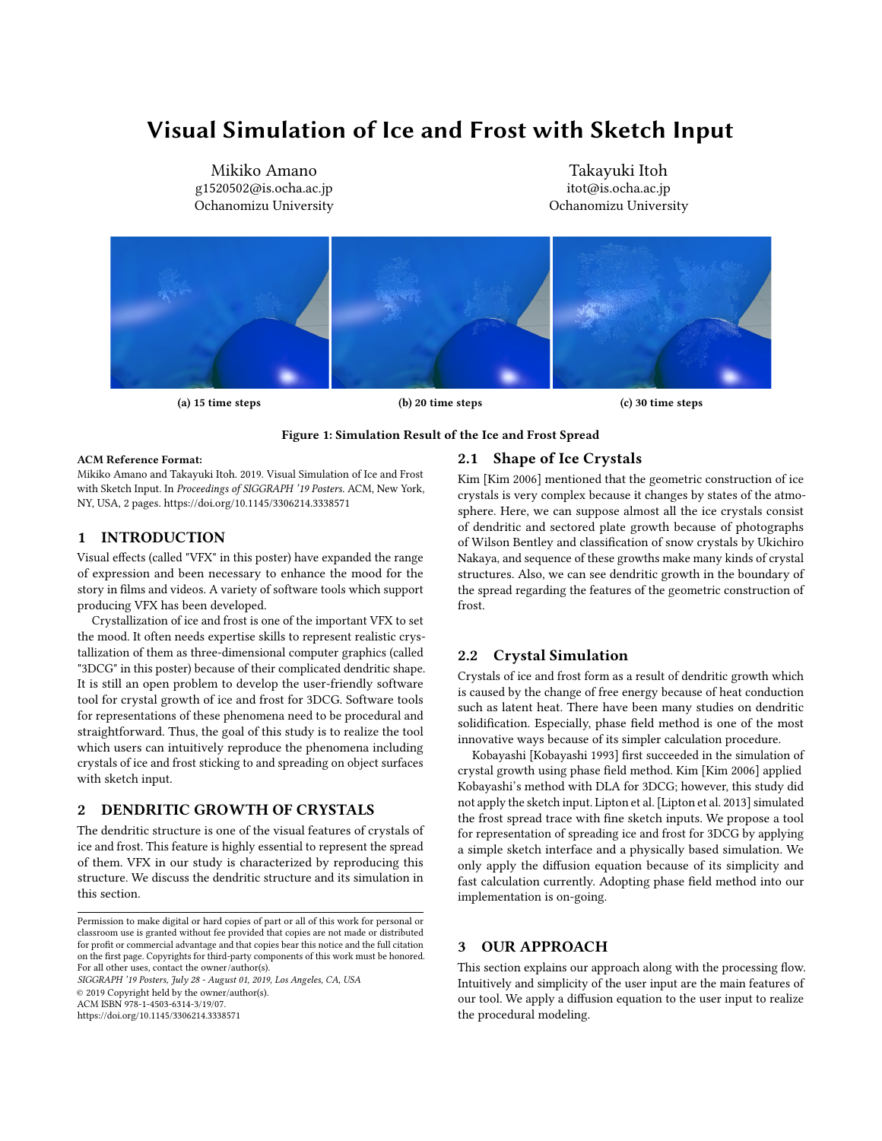# Visual Simulation of Ice and Frost with Sketch Input

Mikiko Amano g1520502@is.ocha.ac.jp Ochanomizu University

Takayuki Itoh itot@is.ocha.ac.jp Ochanomizu University

<span id="page-0-0"></span>

## Figure 1: Simulation Result of the Ice and Frost Spread

#### ACM Reference Format:

Mikiko Amano and Takayuki Itoh. 2019. Visual Simulation of Ice and Frost with Sketch Input. In Proceedings of SIGGRAPH '19 Posters. ACM, New York, NY, USA, [2](#page-1-0) pages.<https://doi.org/10.1145/3306214.3338571>

## 1 INTRODUCTION

Visual effects (called "VFX" in this poster) have expanded the range of expression and been necessary to enhance the mood for the story in films and videos. A variety of software tools which support producing VFX has been developed.

Crystallization of ice and frost is one of the important VFX to set the mood. It often needs expertise skills to represent realistic crystallization of them as three-dimensional computer graphics (called "3DCG" in this poster) because of their complicated dendritic shape. It is still an open problem to develop the user-friendly software tool for crystal growth of ice and frost for 3DCG. Software tools for representations of these phenomena need to be procedural and straightforward. Thus, the goal of this study is to realize the tool which users can intuitively reproduce the phenomena including crystals of ice and frost sticking to and spreading on object surfaces with sketch input.

## 2 DENDRITIC GROWTH OF CRYSTALS

The dendritic structure is one of the visual features of crystals of ice and frost. This feature is highly essential to represent the spread of them. VFX in our study is characterized by reproducing this structure. We discuss the dendritic structure and its simulation in this section.

SIGGRAPH '19 Posters, July 28 - August 01, 2019, Los Angeles, CA, USA

© 2019 Copyright held by the owner/author(s).

ACM ISBN 978-1-4503-6314-3/19/07.

<https://doi.org/10.1145/3306214.3338571>

## 2.1 Shape of Ice Crystals

Kim [\[Kim 2006\]](#page-1-1) mentioned that the geometric construction of ice crystals is very complex because it changes by states of the atmosphere. Here, we can suppose almost all the ice crystals consist of dendritic and sectored plate growth because of photographs of Wilson Bentley and classification of snow crystals by Ukichiro Nakaya, and sequence of these growths make many kinds of crystal structures. Also, we can see dendritic growth in the boundary of the spread regarding the features of the geometric construction of frost.

### 2.2 Crystal Simulation

Crystals of ice and frost form as a result of dendritic growth which is caused by the change of free energy because of heat conduction such as latent heat. There have been many studies on dendritic solidification. Especially, phase field method is one of the most innovative ways because of its simpler calculation procedure.

Kobayashi [\[Kobayashi 1993\]](#page-1-2) first succeeded in the simulation of crystal growth using phase field method. Kim [\[Kim 2006\]](#page-1-1) applied Kobayashi's method with DLA for 3DCG; however, this study did not apply the sketch input. Lipton et al. [\[Lipton et al.](#page-1-3) [2013\]](#page-1-3) simulated the frost spread trace with fine sketch inputs. We propose a tool for representation of spreading ice and frost for 3DCG by applying a simple sketch interface and a physically based simulation. We only apply the diffusion equation because of its simplicity and fast calculation currently. Adopting phase field method into our implementation is on-going.

#### **OUR APPROACH**

This section explains our approach along with the processing flow. Intuitively and simplicity of the user input are the main features of our tool. We apply a diffusion equation to the user input to realize the procedural modeling.

Permission to make digital or hard copies of part or all of this work for personal or classroom use is granted without fee provided that copies are not made or distributed for profit or commercial advantage and that copies bear this notice and the full citation on the first page. Copyrights for third-party components of this work must be honored. For all other uses, contact the owner/author(s).